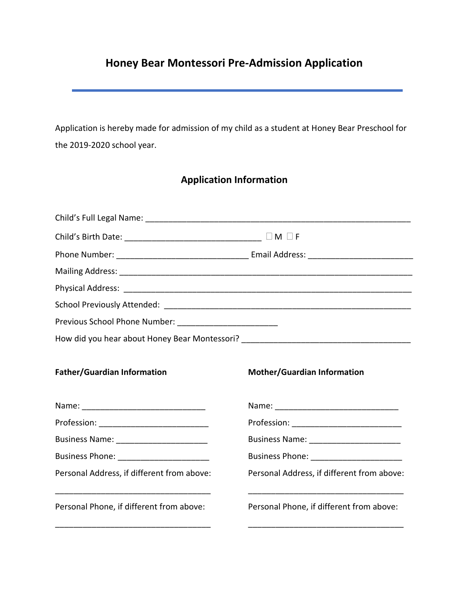## **Honey Bear Montessori Pre-Admission Application**

Application is hereby made for admission of my child as a student at Honey Bear Preschool for the 2019-2020 school year.

## **Application Information**

| Previous School Phone Number: ___________________________                                                                                                        |                                                                                   |
|------------------------------------------------------------------------------------------------------------------------------------------------------------------|-----------------------------------------------------------------------------------|
|                                                                                                                                                                  | How did you hear about Honey Bear Montessori? ___________________________________ |
| <b>Father/Guardian Information</b>                                                                                                                               | <b>Mother/Guardian Information</b>                                                |
|                                                                                                                                                                  |                                                                                   |
|                                                                                                                                                                  |                                                                                   |
|                                                                                                                                                                  |                                                                                   |
| Business Phone: _______________________                                                                                                                          |                                                                                   |
| Personal Address, if different from above:                                                                                                                       | Personal Address, if different from above:                                        |
| <u> 1980 - Johann Barbara, martxa alemaniar argumento de la contrada de la contrada de la contrada de la contrad</u><br>Personal Phone, if different from above: | Personal Phone, if different from above:                                          |
|                                                                                                                                                                  |                                                                                   |